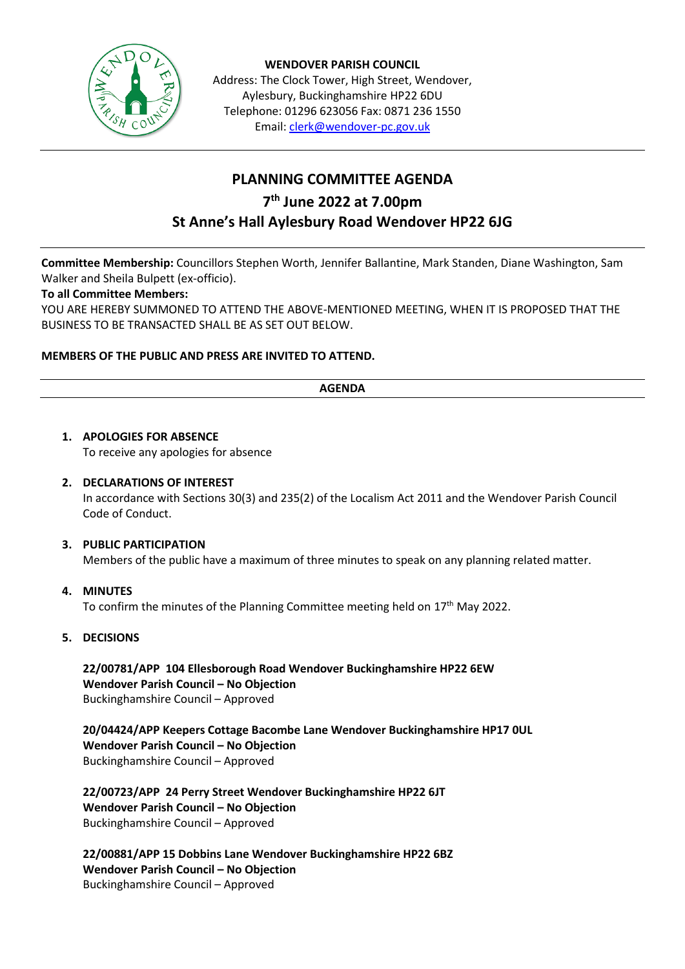

**WENDOVER PARISH COUNCIL** Address: The Clock Tower, High Street, Wendover, Aylesbury, Buckinghamshire HP22 6DU Telephone: 01296 623056 Fax: 0871 236 1550 Email[: clerk@wendover-pc.gov.uk](mailto:clerk@wendover-pc.gov.uk)

# **PLANNING COMMITTEE AGENDA 7 th June 2022 at 7.00pm St Anne's Hall Aylesbury Road Wendover HP22 6JG**

**Committee Membership:** Councillors Stephen Worth, Jennifer Ballantine, Mark Standen, Diane Washington, Sam Walker and Sheila Bulpett (ex-officio).

# **To all Committee Members:**

YOU ARE HEREBY SUMMONED TO ATTEND THE ABOVE-MENTIONED MEETING, WHEN IT IS PROPOSED THAT THE BUSINESS TO BE TRANSACTED SHALL BE AS SET OUT BELOW.

# **MEMBERS OF THE PUBLIC AND PRESS ARE INVITED TO ATTEND.**

#### **AGENDA**

**1. APOLOGIES FOR ABSENCE** To receive any apologies for absence **2. DECLARATIONS OF INTEREST**

> In accordance with Sections 30(3) and 235(2) of the Localism Act 2011 and the Wendover Parish Council Code of Conduct.

## **3. PUBLIC PARTICIPATION**

Members of the public have a maximum of three minutes to speak on any planning related matter.

## **4. MINUTES**

To confirm the minutes of the Planning Committee meeting held on 17<sup>th</sup> May 2022.

# **5. DECISIONS**

**22/00781/APP 104 Ellesborough Road Wendover Buckinghamshire HP22 6EW Wendover Parish Council – No Objection**  Buckinghamshire Council – Approved

**20/04424/APP Keepers Cottage Bacombe Lane Wendover Buckinghamshire HP17 0UL Wendover Parish Council – No Objection**  Buckinghamshire Council – Approved

**22/00723/APP 24 Perry Street Wendover Buckinghamshire HP22 6JT Wendover Parish Council – No Objection**  Buckinghamshire Council – Approved

**22/00881/APP 15 Dobbins Lane Wendover Buckinghamshire HP22 6BZ Wendover Parish Council – No Objection**  Buckinghamshire Council – Approved